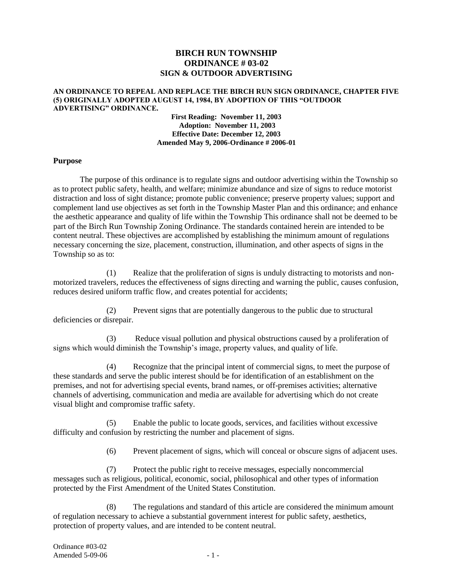# **BIRCH RUN TOWNSHIP ORDINANCE # 03-02 SIGN & OUTDOOR ADVERTISING**

#### **AN ORDINANCE TO REPEAL AND REPLACE THE BIRCH RUN SIGN ORDINANCE, CHAPTER FIVE (5) ORIGINALLY ADOPTED AUGUST 14, 1984, BY ADOPTION OF THIS "OUTDOOR ADVERTISING" ORDINANCE.**

**First Reading: November 11, 2003 Adoption: November 11, 2003 Effective Date: December 12, 2003 Amended May 9, 2006-Ordinance # 2006-01**

### **Purpose**

The purpose of this ordinance is to regulate signs and outdoor advertising within the Township so as to protect public safety, health, and welfare; minimize abundance and size of signs to reduce motorist distraction and loss of sight distance; promote public convenience; preserve property values; support and complement land use objectives as set forth in the Township Master Plan and this ordinance; and enhance the aesthetic appearance and quality of life within the Township This ordinance shall not be deemed to be part of the Birch Run Township Zoning Ordinance. The standards contained herein are intended to be content neutral. These objectives are accomplished by establishing the minimum amount of regulations necessary concerning the size, placement, construction, illumination, and other aspects of signs in the Township so as to:

(1) Realize that the proliferation of signs is unduly distracting to motorists and nonmotorized travelers, reduces the effectiveness of signs directing and warning the public, causes confusion, reduces desired uniform traffic flow, and creates potential for accidents;

(2) Prevent signs that are potentially dangerous to the public due to structural deficiencies or disrepair.

(3) Reduce visual pollution and physical obstructions caused by a proliferation of signs which would diminish the Township's image, property values, and quality of life.

(4) Recognize that the principal intent of commercial signs, to meet the purpose of these standards and serve the public interest should be for identification of an establishment on the premises, and not for advertising special events, brand names, or off-premises activities; alternative channels of advertising, communication and media are available for advertising which do not create visual blight and compromise traffic safety.

(5) Enable the public to locate goods, services, and facilities without excessive difficulty and confusion by restricting the number and placement of signs.

(6) Prevent placement of signs, which will conceal or obscure signs of adjacent uses.

(7) Protect the public right to receive messages, especially noncommercial messages such as religious, political, economic, social, philosophical and other types of information protected by the First Amendment of the United States Constitution.

(8) The regulations and standard of this article are considered the minimum amount of regulation necessary to achieve a substantial government interest for public safety, aesthetics, protection of property values, and are intended to be content neutral.

Ordinance #03-02 Amended 5-09-06 - 2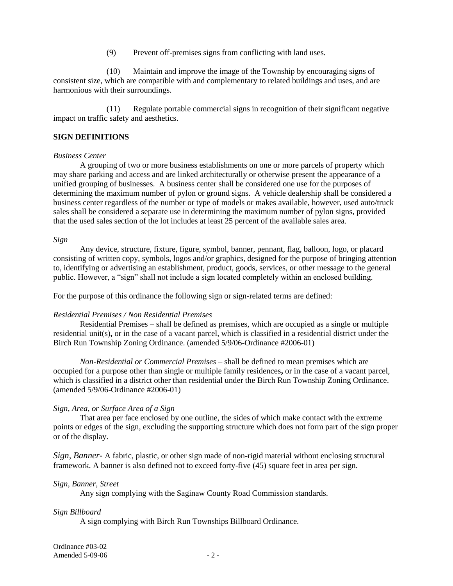(9) Prevent off-premises signs from conflicting with land uses.

(10) Maintain and improve the image of the Township by encouraging signs of consistent size, which are compatible with and complementary to related buildings and uses, and are harmonious with their surroundings.

(11) Regulate portable commercial signs in recognition of their significant negative impact on traffic safety and aesthetics.

### **SIGN DEFINITIONS**

### *Business Center*

A grouping of two or more business establishments on one or more parcels of property which may share parking and access and are linked architecturally or otherwise present the appearance of a unified grouping of businesses. A business center shall be considered one use for the purposes of determining the maximum number of pylon or ground signs. A vehicle dealership shall be considered a business center regardless of the number or type of models or makes available, however, used auto/truck sales shall be considered a separate use in determining the maximum number of pylon signs, provided that the used sales section of the lot includes at least 25 percent of the available sales area.

#### *Sign*

Any device, structure, fixture, figure, symbol, banner, pennant, flag, balloon, logo, or placard consisting of written copy, symbols, logos and/or graphics, designed for the purpose of bringing attention to, identifying or advertising an establishment, product, goods, services, or other message to the general public. However, a "sign" shall not include a sign located completely within an enclosed building.

For the purpose of this ordinance the following sign or sign-related terms are defined:

### *Residential Premises / Non Residential Premises*

Residential Premises – shall be defined as premises, which are occupied as a single or multiple residential unit(s)**,** or in the case of a vacant parcel, which is classified in a residential district under the Birch Run Township Zoning Ordinance. (amended 5/9/06-Ordinance #2006-01)

*Non-Residential or Commercial Premises* – shall be defined to mean premises which are occupied for a purpose other than single or multiple family residences**,** or in the case of a vacant parcel, which is classified in a district other than residential under the Birch Run Township Zoning Ordinance. (amended 5/9/06-Ordinance #2006-01)

### *Sign, Area, or Surface Area of a Sign*

That area per face enclosed by one outline, the sides of which make contact with the extreme points or edges of the sign, excluding the supporting structure which does not form part of the sign proper or of the display.

*Sign, Banner-* A fabric, plastic, or other sign made of non-rigid material without enclosing structural framework. A banner is also defined not to exceed forty-five (45) square feet in area per sign.

#### *Sign, Banner, Street*

Any sign complying with the Saginaw County Road Commission standards.

### *Sign Billboard*

A sign complying with Birch Run Townships Billboard Ordinance.

Ordinance #03-02 Amended  $5-09-06$   $-2-$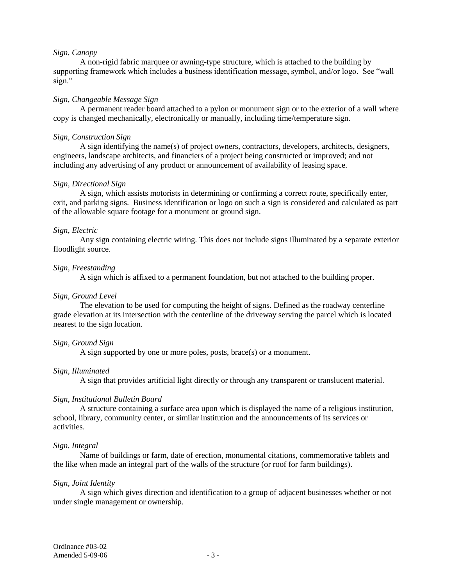### *Sign, Canopy*

A non-rigid fabric marquee or awning-type structure, which is attached to the building by supporting framework which includes a business identification message, symbol, and/or logo. See "wall sign."

## *Sign, Changeable Message Sign*

A permanent reader board attached to a pylon or monument sign or to the exterior of a wall where copy is changed mechanically, electronically or manually, including time/temperature sign.

## *Sign, Construction Sign*

A sign identifying the name(s) of project owners, contractors, developers, architects, designers, engineers, landscape architects, and financiers of a project being constructed or improved; and not including any advertising of any product or announcement of availability of leasing space.

## *Sign, Directional Sign*

A sign, which assists motorists in determining or confirming a correct route, specifically enter, exit, and parking signs. Business identification or logo on such a sign is considered and calculated as part of the allowable square footage for a monument or ground sign.

## *Sign, Electric*

Any sign containing electric wiring. This does not include signs illuminated by a separate exterior floodlight source.

### *Sign, Freestanding*

A sign which is affixed to a permanent foundation, but not attached to the building proper.

### *Sign, Ground Level*

The elevation to be used for computing the height of signs. Defined as the roadway centerline grade elevation at its intersection with the centerline of the driveway serving the parcel which is located nearest to the sign location.

## *Sign, Ground Sign*

A sign supported by one or more poles, posts, brace(s) or a monument.

## *Sign, Illuminated*

A sign that provides artificial light directly or through any transparent or translucent material.

## *Sign, Institutional Bulletin Board*

A structure containing a surface area upon which is displayed the name of a religious institution, school, library, community center, or similar institution and the announcements of its services or activities.

## *Sign, Integral*

Name of buildings or farm, date of erection, monumental citations, commemorative tablets and the like when made an integral part of the walls of the structure (or roof for farm buildings).

### *Sign, Joint Identity*

A sign which gives direction and identification to a group of adjacent businesses whether or not under single management or ownership.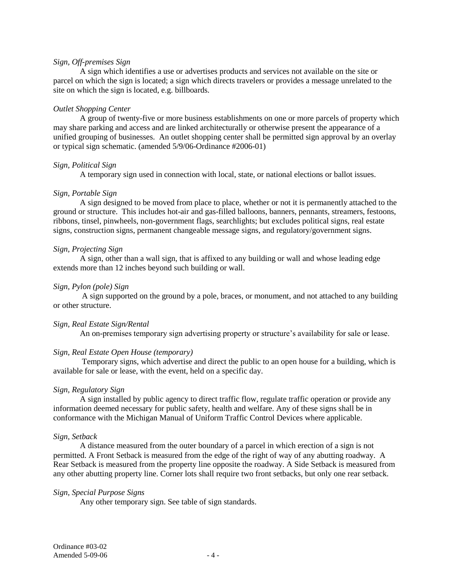### *Sign, Off-premises Sign*

A sign which identifies a use or advertises products and services not available on the site or parcel on which the sign is located; a sign which directs travelers or provides a message unrelated to the site on which the sign is located, e.g. billboards.

### *Outlet Shopping Center*

A group of twenty-five or more business establishments on one or more parcels of property which may share parking and access and are linked architecturally or otherwise present the appearance of a unified grouping of businesses. An outlet shopping center shall be permitted sign approval by an overlay or typical sign schematic. (amended 5/9/06-Ordinance #2006-01)

### *Sign, Political Sign*

A temporary sign used in connection with local, state, or national elections or ballot issues.

### *Sign, Portable Sign*

A sign designed to be moved from place to place, whether or not it is permanently attached to the ground or structure. This includes hot-air and gas-filled balloons, banners, pennants, streamers, festoons, ribbons, tinsel, pinwheels, non-government flags, searchlights; but excludes political signs, real estate signs, construction signs, permanent changeable message signs, and regulatory/government signs.

### *Sign, Projecting Sign*

A sign, other than a wall sign, that is affixed to any building or wall and whose leading edge extends more than 12 inches beyond such building or wall.

### *Sign, Pylon (pole) Sign*

A sign supported on the ground by a pole, braces, or monument, and not attached to any building or other structure.

## *Sign, Real Estate Sign/Rental*

An on-premises temporary sign advertising property or structure's availability for sale or lease.

## *Sign, Real Estate Open House (temporary)*

Temporary signs, which advertise and direct the public to an open house for a building, which is available for sale or lease, with the event, held on a specific day.

## *Sign, Regulatory Sign*

A sign installed by public agency to direct traffic flow, regulate traffic operation or provide any information deemed necessary for public safety, health and welfare. Any of these signs shall be in conformance with the Michigan Manual of Uniform Traffic Control Devices where applicable.

### *Sign, Setback*

A distance measured from the outer boundary of a parcel in which erection of a sign is not permitted. A Front Setback is measured from the edge of the right of way of any abutting roadway. A Rear Setback is measured from the property line opposite the roadway. A Side Setback is measured from any other abutting property line. Corner lots shall require two front setbacks, but only one rear setback.

### *Sign, Special Purpose Signs*

Any other temporary sign. See table of sign standards.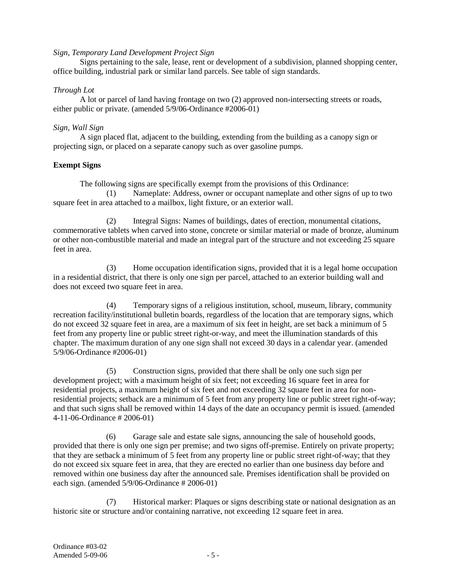## *Sign, Temporary Land Development Project Sign*

Signs pertaining to the sale, lease, rent or development of a subdivision, planned shopping center, office building, industrial park or similar land parcels. See table of sign standards.

## *Through Lot*

A lot or parcel of land having frontage on two (2) approved non-intersecting streets or roads, either public or private. (amended 5/9/06-Ordinance #2006-01)

## *Sign, Wall Sign*

A sign placed flat, adjacent to the building, extending from the building as a canopy sign or projecting sign, or placed on a separate canopy such as over gasoline pumps.

# **Exempt Signs**

The following signs are specifically exempt from the provisions of this Ordinance:

(1) Nameplate: Address, owner or occupant nameplate and other signs of up to two square feet in area attached to a mailbox, light fixture, or an exterior wall.

(2) Integral Signs: Names of buildings, dates of erection, monumental citations, commemorative tablets when carved into stone, concrete or similar material or made of bronze, aluminum or other non-combustible material and made an integral part of the structure and not exceeding 25 square feet in area.

(3) Home occupation identification signs, provided that it is a legal home occupation in a residential district, that there is only one sign per parcel, attached to an exterior building wall and does not exceed two square feet in area.

(4) Temporary signs of a religious institution, school, museum, library, community recreation facility/institutional bulletin boards, regardless of the location that are temporary signs, which do not exceed 32 square feet in area, are a maximum of six feet in height, are set back a minimum of 5 feet from any property line or public street right-or-way, and meet the illumination standards of this chapter. The maximum duration of any one sign shall not exceed 30 days in a calendar year. (amended 5/9/06-Ordinance #2006-01)

(5) Construction signs, provided that there shall be only one such sign per development project; with a maximum height of six feet; not exceeding 16 square feet in area for residential projects, a maximum height of six feet and not exceeding 32 square feet in area for nonresidential projects; setback are a minimum of 5 feet from any property line or public street right-of-way; and that such signs shall be removed within 14 days of the date an occupancy permit is issued. (amended 4-11-06-Ordinance # 2006-01)

 (6) Garage sale and estate sale signs, announcing the sale of household goods, provided that there is only one sign per premise; and two signs off-premise. Entirely on private property; that they are setback a minimum of 5 feet from any property line or public street right-of-way; that they do not exceed six square feet in area, that they are erected no earlier than one business day before and removed within one business day after the announced sale. Premises identification shall be provided on each sign. (amended 5/9/06-Ordinance # 2006-01)

(7) Historical marker: Plaques or signs describing state or national designation as an historic site or structure and/or containing narrative, not exceeding 12 square feet in area.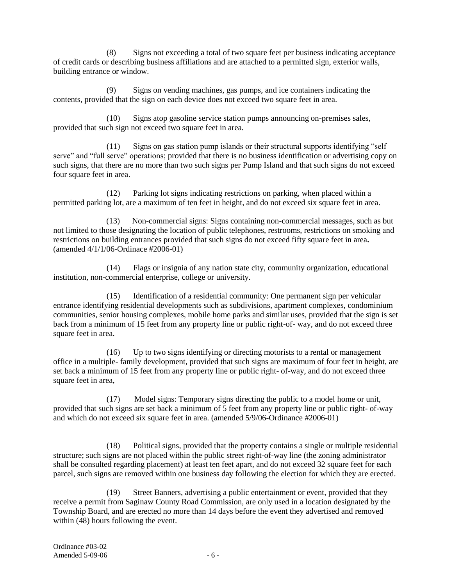(8) Signs not exceeding a total of two square feet per business indicating acceptance of credit cards or describing business affiliations and are attached to a permitted sign, exterior walls, building entrance or window.

Signs on vending machines, gas pumps, and ice containers indicating the contents, provided that the sign on each device does not exceed two square feet in area.

(10) Signs atop gasoline service station pumps announcing on-premises sales, provided that such sign not exceed two square feet in area.

(11) Signs on gas station pump islands or their structural supports identifying "self serve" and "full serve" operations; provided that there is no business identification or advertising copy on such signs, that there are no more than two such signs per Pump Island and that such signs do not exceed four square feet in area.

(12) Parking lot signs indicating restrictions on parking, when placed within a permitted parking lot, are a maximum of ten feet in height, and do not exceed six square feet in area.

 (13) Non-commercial signs: Signs containing non-commercial messages, such as but not limited to those designating the location of public telephones, restrooms, restrictions on smoking and restrictions on building entrances provided that such signs do not exceed fifty square feet in area**.**  (amended 4/1/1/06-Ordinace #2006-01)

(14) Flags or insignia of any nation state city, community organization, educational institution, non-commercial enterprise, college or university.

(15) Identification of a residential community: One permanent sign per vehicular entrance identifying residential developments such as subdivisions, apartment complexes, condominium communities, senior housing complexes, mobile home parks and similar uses, provided that the sign is set back from a minimum of 15 feet from any property line or public right-of- way, and do not exceed three square feet in area.

(16) Up to two signs identifying or directing motorists to a rental or management office in a multiple- family development, provided that such signs are maximum of four feet in height, are set back a minimum of 15 feet from any property line or public right- of-way, and do not exceed three square feet in area,

(17) Model signs: Temporary signs directing the public to a model home or unit, provided that such signs are set back a minimum of 5 feet from any property line or public right- of-way and which do not exceed six square feet in area. (amended 5/9/06-Ordinance #2006-01)

(18) Political signs, provided that the property contains a single or multiple residential structure; such signs are not placed within the public street right-of-way line (the zoning administrator shall be consulted regarding placement) at least ten feet apart, and do not exceed 32 square feet for each parcel, such signs are removed within one business day following the election for which they are erected.

(19) Street Banners, advertising a public entertainment or event, provided that they receive a permit from Saginaw County Road Commission, are only used in a location designated by the Township Board, and are erected no more than 14 days before the event they advertised and removed within (48) hours following the event.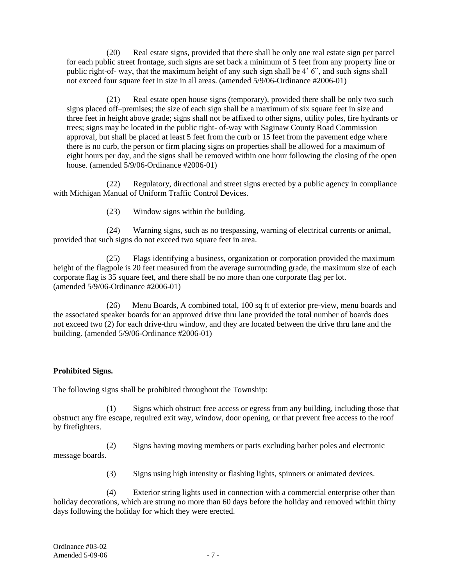(20) Real estate signs, provided that there shall be only one real estate sign per parcel for each public street frontage, such signs are set back a minimum of 5 feet from any property line or public right-of- way, that the maximum height of any such sign shall be 4' 6", and such signs shall not exceed four square feet in size in all areas. (amended 5/9/06-Ordinance #2006-01)

(21) Real estate open house signs (temporary), provided there shall be only two such signs placed off–premises; the size of each sign shall be a maximum of six square feet in size and three feet in height above grade; signs shall not be affixed to other signs, utility poles, fire hydrants or trees; signs may be located in the public right- of-way with Saginaw County Road Commission approval, but shall be placed at least 5 feet from the curb or 15 feet from the pavement edge where there is no curb, the person or firm placing signs on properties shall be allowed for a maximum of eight hours per day, and the signs shall be removed within one hour following the closing of the open house. (amended 5/9/06-Ordinance #2006-01)

(22) Regulatory, directional and street signs erected by a public agency in compliance with Michigan Manual of Uniform Traffic Control Devices.

(23) Window signs within the building.

(24) Warning signs, such as no trespassing, warning of electrical currents or animal, provided that such signs do not exceed two square feet in area.

 (25) Flags identifying a business, organization or corporation provided the maximum height of the flagpole is 20 feet measured from the average surrounding grade, the maximum size of each corporate flag is 35 square feet, and there shall be no more than one corporate flag per lot. (amended 5/9/06-Ordinance #2006-01)

(26) Menu Boards, A combined total, 100 sq ft of exterior pre-view, menu boards and the associated speaker boards for an approved drive thru lane provided the total number of boards does not exceed two (2) for each drive-thru window, and they are located between the drive thru lane and the building. (amended 5/9/06-Ordinance #2006-01)

# **Prohibited Signs.**

The following signs shall be prohibited throughout the Township:

(1) Signs which obstruct free access or egress from any building, including those that obstruct any fire escape, required exit way, window, door opening, or that prevent free access to the roof by firefighters.

(2) Signs having moving members or parts excluding barber poles and electronic message boards.

(3) Signs using high intensity or flashing lights, spinners or animated devices.

(4) Exterior string lights used in connection with a commercial enterprise other than holiday decorations, which are strung no more than 60 days before the holiday and removed within thirty days following the holiday for which they were erected.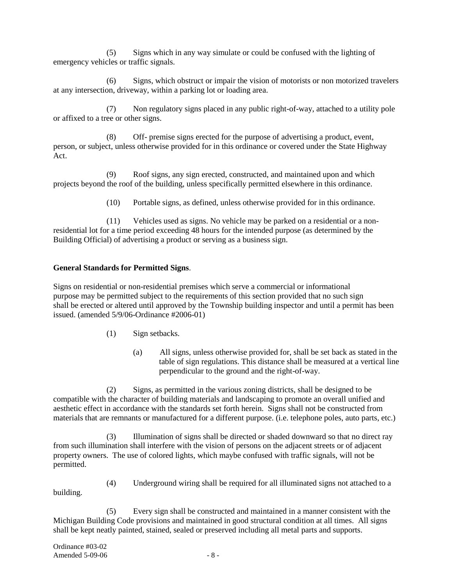(5) Signs which in any way simulate or could be confused with the lighting of emergency vehicles or traffic signals.

(6) Signs, which obstruct or impair the vision of motorists or non motorized travelers at any intersection, driveway, within a parking lot or loading area.

(7) Non regulatory signs placed in any public right-of-way, attached to a utility pole or affixed to a tree or other signs.

(8) Off- premise signs erected for the purpose of advertising a product, event, person, or subject, unless otherwise provided for in this ordinance or covered under the State Highway Act.

(9) Roof signs, any sign erected, constructed, and maintained upon and which projects beyond the roof of the building, unless specifically permitted elsewhere in this ordinance.

(10) Portable signs, as defined, unless otherwise provided for in this ordinance.

(11) Vehicles used as signs. No vehicle may be parked on a residential or a nonresidential lot for a time period exceeding 48 hours for the intended purpose (as determined by the Building Official) of advertising a product or serving as a business sign.

## **General Standards for Permitted Signs**.

Signs on residential or non-residential premises which serve a commercial or informational purpose may be permitted subject to the requirements of this section provided that no such sign shall be erected or altered until approved by the Township building inspector and until a permit has been issued. (amended 5/9/06-Ordinance #2006-01)

- (1) Sign setbacks.
	- (a) All signs, unless otherwise provided for, shall be set back as stated in the table of sign regulations. This distance shall be measured at a vertical line perpendicular to the ground and the right-of-way.

(2) Signs, as permitted in the various zoning districts, shall be designed to be compatible with the character of building materials and landscaping to promote an overall unified and aesthetic effect in accordance with the standards set forth herein. Signs shall not be constructed from materials that are remnants or manufactured for a different purpose. (i.e. telephone poles, auto parts, etc.)

(3) Illumination of signs shall be directed or shaded downward so that no direct ray from such illumination shall interfere with the vision of persons on the adjacent streets or of adjacent property owners. The use of colored lights, which maybe confused with traffic signals, will not be permitted.

building.

(4) Underground wiring shall be required for all illuminated signs not attached to a

(5) Every sign shall be constructed and maintained in a manner consistent with the Michigan Building Code provisions and maintained in good structural condition at all times. All signs shall be kept neatly painted, stained, sealed or preserved including all metal parts and supports.

Ordinance #03-02 Amended  $5-09-06$  - 8 -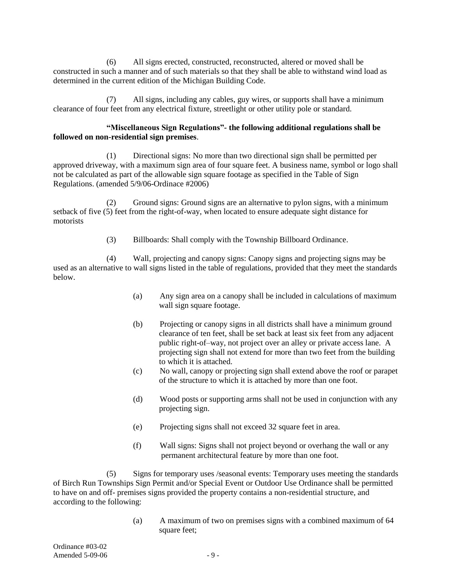(6) All signs erected, constructed, reconstructed, altered or moved shall be constructed in such a manner and of such materials so that they shall be able to withstand wind load as determined in the current edition of the Michigan Building Code.

(7) All signs, including any cables, guy wires, or supports shall have a minimum clearance of four feet from any electrical fixture, streetlight or other utility pole or standard.

## **"Miscellaneous Sign Regulations"- the following additional regulations shall be followed on non-residential sign premises**.

(1) Directional signs: No more than two directional sign shall be permitted per approved driveway, with a maximum sign area of four square feet. A business name, symbol or logo shall not be calculated as part of the allowable sign square footage as specified in the Table of Sign Regulations. (amended 5/9/06-Ordinace #2006)

(2) Ground signs: Ground signs are an alternative to pylon signs, with a minimum setback of five (5) feet from the right-of-way, when located to ensure adequate sight distance for motorists

(3) Billboards: Shall comply with the Township Billboard Ordinance.

(4) Wall, projecting and canopy signs: Canopy signs and projecting signs may be used as an alternative to wall signs listed in the table of regulations, provided that they meet the standards below.

- (a) Any sign area on a canopy shall be included in calculations of maximum wall sign square footage.
- (b) Projecting or canopy signs in all districts shall have a minimum ground clearance of ten feet, shall be set back at least six feet from any adjacent public right-of–way, not project over an alley or private access lane. A projecting sign shall not extend for more than two feet from the building to which it is attached.
- (c) No wall, canopy or projecting sign shall extend above the roof or parapet of the structure to which it is attached by more than one foot.
- (d) Wood posts or supporting arms shall not be used in conjunction with any projecting sign.
- (e) Projecting signs shall not exceed 32 square feet in area.
- (f) Wall signs: Signs shall not project beyond or overhang the wall or any permanent architectural feature by more than one foot.

(5) Signs for temporary uses /seasonal events: Temporary uses meeting the standards of Birch Run Townships Sign Permit and/or Special Event or Outdoor Use Ordinance shall be permitted to have on and off- premises signs provided the property contains a non-residential structure, and according to the following:

> (a) A maximum of two on premises signs with a combined maximum of 64 square feet:

Ordinance #03-02  $A$ mended 5-09-06  $-9$  -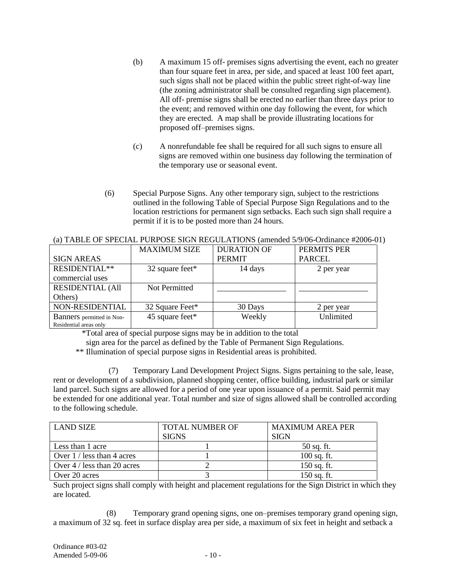- (b) A maximum 15 off- premises signs advertising the event, each no greater than four square feet in area, per side, and spaced at least 100 feet apart, such signs shall not be placed within the public street right-of-way line (the zoning administrator shall be consulted regarding sign placement). All off- premise signs shall be erected no earlier than three days prior to the event; and removed within one day following the event, for which they are erected. A map shall be provide illustrating locations for proposed off–premises signs.
- (c) A nonrefundable fee shall be required for all such signs to ensure all signs are removed within one business day following the termination of the temporary use or seasonal event.
- (6) Special Purpose Signs. Any other temporary sign, subject to the restrictions outlined in the following Table of Special Purpose Sign Regulations and to the location restrictions for permanent sign setbacks. Each such sign shall require a permit if it is to be posted more than 24 hours.

|                           | <b>MAXIMUM SIZE</b> | <b>DURATION OF</b> | PERMITS PER   |
|---------------------------|---------------------|--------------------|---------------|
| <b>SIGN AREAS</b>         |                     | <b>PERMIT</b>      | <b>PARCEL</b> |
| RESIDENTIAL**             | 32 square feet*     | 14 days            | 2 per year    |
| commercial uses           |                     |                    |               |
| <b>RESIDENTIAL (All</b>   | Not Permitted       |                    |               |
| Others)                   |                     |                    |               |
| NON-RESIDENTIAL           | 32 Square Feet*     | 30 Days            | 2 per year    |
| Banners permitted in Non- | 45 square feet*     | Weekly             | Unlimited     |
| Residential areas only    |                     |                    |               |

(a) TABLE OF SPECIAL PURPOSE SIGN REGULATIONS (amended 5/9/06-Ordinance #2006-01)

\*Total area of special purpose signs may be in addition to the total

sign area for the parcel as defined by the Table of Permanent Sign Regulations.

\*\* Illumination of special purpose signs in Residential areas is prohibited.

(7) Temporary Land Development Project Signs. Signs pertaining to the sale, lease, rent or development of a subdivision, planned shopping center, office building, industrial park or similar land parcel. Such signs are allowed for a period of one year upon issuance of a permit. Said permit may be extended for one additional year. Total number and size of signs allowed shall be controlled according to the following schedule.

| LAND SIZE                    | <b>TOTAL NUMBER OF</b> | <b>MAXIMUM AREA PER</b> |  |  |
|------------------------------|------------------------|-------------------------|--|--|
|                              | <b>SIGNS</b>           | <b>SIGN</b>             |  |  |
| Less than 1 acre             |                        | 50 sq. ft.              |  |  |
| Over 1 / less than 4 acres   |                        | $100$ sq. ft.           |  |  |
| Over $4/$ less than 20 acres |                        | $150$ sq. ft.           |  |  |
| Over 20 acres                |                        | 150 sq. ft.             |  |  |

Such project signs shall comply with height and placement regulations for the Sign District in which they are located.

(8) Temporary grand opening signs, one on–premises temporary grand opening sign, a maximum of 32 sq. feet in surface display area per side, a maximum of six feet in height and setback a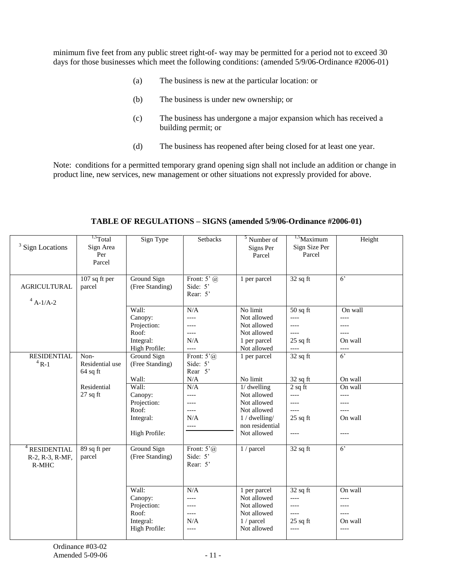minimum five feet from any public street right-of- way may be permitted for a period not to exceed 30 days for those businesses which meet the following conditions: (amended 5/9/06-Ordinance #2006-01)

- (a) The business is new at the particular location: or
- (b) The business is under new ownership; or
- (c) The business has undergone a major expansion which has received a building permit; or
- (d) The business has reopened after being closed for at least one year.

Note: conditions for a permitted temporary grand opening sign shall not include an addition or change in product line, new services, new management or other situations not expressly provided for above.

| $3$ Sign Locations                                    | $\overline{^{1,5}Total}$<br>Sign Area<br>Per<br>Parcel | Sign Type                                                              | <b>Setbacks</b>                                            | $\frac{3}{5}$ Number of<br>Signs Per<br>Parcel                                                                  | $1.5$ Maximum<br>Sign Size Per<br>Parcel                              | Height                                                |
|-------------------------------------------------------|--------------------------------------------------------|------------------------------------------------------------------------|------------------------------------------------------------|-----------------------------------------------------------------------------------------------------------------|-----------------------------------------------------------------------|-------------------------------------------------------|
| <b>AGRICULTURAL</b><br>$^{4}$ A-1/A-2                 | 107 sq ft per<br>parcel                                | Ground Sign<br>(Free Standing)                                         | Front: $5^{\circ}$ (a)<br>Side: 5'<br>Rear: 5'             | 1 per parcel                                                                                                    | $32$ sq ft                                                            | $6^{\circ}$                                           |
|                                                       |                                                        | Wall:<br>Canopy:<br>Projection:<br>Roof:<br>Integral:<br>High Profile: | N/A<br>$---$<br>$---$<br>$---$<br>N/A<br>$---$             | No limit<br>Not allowed<br>Not allowed<br>Not allowed<br>1 per parcel<br>Not allowed                            | $50$ sq ft<br>$\overline{a}$<br>$---$<br>$---$<br>$25$ sq ft<br>$---$ | On wall<br>----<br>----<br>$---$<br>On wall<br>$---$  |
| <b>RESIDENTIAL</b><br>$4R-1$                          | Non-<br>Residential use<br>$64$ sq ft                  | Ground Sign<br>(Free Standing)<br>Wall:                                | Front: $5^{\circ}$ (a)<br>Side: 5'<br>Rear 5'<br>$\rm N/A$ | 1 per parcel<br>No limit                                                                                        | $\overline{3}2$ sq ft<br>$32$ sq ft                                   | $6^{\circ}$<br>On wall                                |
|                                                       | Residential<br>$27$ sq ft                              | Wall:<br>Canopy:<br>Projection:<br>Roof:<br>Integral:<br>High Profile: | N/A<br>$---$<br>$---$<br>$---$<br>N/A<br>$---$             | $1/$ dwelling<br>Not allowed<br>Not allowed<br>Not allowed<br>$1 /$ dwelling/<br>non residential<br>Not allowed | $2$ sq ft<br>$---$<br>$---$<br>$---$<br>$25$ sq ft<br>$---$           | On wall<br>$---$<br>----<br>$---$<br>On wall<br>$---$ |
| <b>RESIDENTIAL</b><br>R-2, R-3, R-MF,<br><b>R-MHC</b> | 89 sq ft per<br>parcel                                 | Ground Sign<br>(Free Standing)                                         | Front: $5^{\circ}$ (a)<br>Side: 5'<br>Rear: 5'             | 1 / parcel                                                                                                      | $32$ sq ft                                                            | $6^{\circ}$                                           |
|                                                       |                                                        | Wall:<br>Canopy:<br>Projection:<br>Roof:<br>Integral:<br>High Profile: | N/A<br>$---$<br>----<br>$---$<br>N/A<br>$---$              | 1 per parcel<br>Not allowed<br>Not allowed<br>Not allowed<br>1 / parcel<br>Not allowed                          | $32$ sq ft<br>$---$<br>$---$<br>$---$<br>$25$ sq ft<br>$---$          | On wall<br>$---$<br>----<br>$---$<br>On wall<br>$---$ |

**TABLE OF REGULATIONS – SIGNS (amended 5/9/06-Ordinance #2006-01)**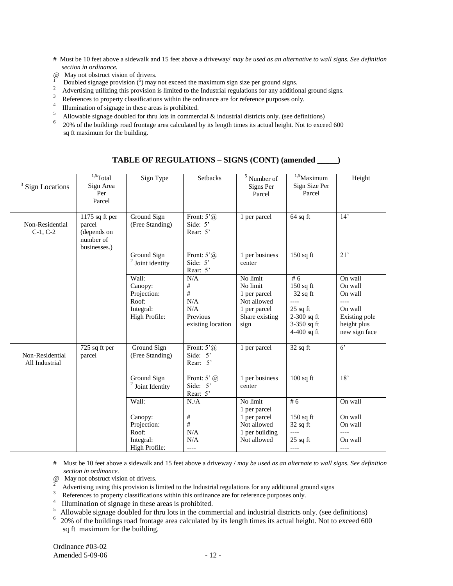- # Must be 10 feet above a sidewalk and 15 feet above a driveway/ *may be used as an alternative to wall signs. See definition section in ordinance.*
- @ May not obstruct vision of drivers.
- <sup>1</sup> Doubled signage provision  $(\bar{5})$  may not exceed the maximum sign size per ground signs. 2
- Advertising utilizing this provision is limited to the Industrial regulations for any additional ground signs.
- 3 References to property classifications within the ordinance are for reference purposes only.
- 4 <sup>4</sup> Illumination of signage in these areas is prohibited.
- <sup>5</sup> Allowable signage doubled for thru lots in commercial  $\&$  industrial districts only. (see definitions)
- <sup>6</sup>20% of the buildings road frontage area calculated by its length times its actual height. Not to exceed 600 sq ft maximum for the building.

| <sup>3</sup> Sign Locations       | $1,5$ Total<br>Sign Area<br>Per<br>Parcel                            | Sign Type                                     | Setbacks                                                                                   | $\frac{3}{5}$ Number of<br>Signs Per<br>Parcel      | $\frac{1.5}{1.5}$ Maximum<br>Sign Size Per<br>Parcel        | Height                                                   |
|-----------------------------------|----------------------------------------------------------------------|-----------------------------------------------|--------------------------------------------------------------------------------------------|-----------------------------------------------------|-------------------------------------------------------------|----------------------------------------------------------|
| Non-Residential<br>$C-1, C-2$     | 1175 sq ft per<br>parcel<br>(depends on<br>number of<br>businesses.) | Ground Sign<br>(Free Standing)<br>Ground Sign | Front: $5^{\circ}$ ( <i>a</i> )<br>Side: 5'<br>Rear: 5'<br>Front: $5^{\circ}$ ( <i>a</i> ) | 1 per parcel<br>1 per business                      | $64$ sq ft<br>$150$ sq ft                                   | 14'<br>21'                                               |
|                                   |                                                                      | $2$ Joint identity                            | Side: 5'<br>Rear: 5'                                                                       | center                                              |                                                             |                                                          |
|                                   |                                                                      | Wall:<br>Canopy:<br>Projection:<br>Roof:      | N/A<br>#<br>#<br>N/A                                                                       | No limit<br>No limit<br>1 per parcel<br>Not allowed | #6<br>$150$ sq ft<br>$32$ sq ft<br>$---$                    | On wall<br>On wall<br>On wall<br>----                    |
|                                   |                                                                      | Integral:<br>High Profile:                    | N/A<br>Previous<br>existing location                                                       | 1 per parcel<br>Share existing<br>sign              | $25$ sq ft<br>$2-300$ sq ft<br>3-350 sq ft<br>$4-400$ sq ft | On wall<br>Existing pole<br>height plus<br>new sign face |
| Non-Residential<br>All Industrial | 725 sq ft per<br>parcel                                              | Ground Sign<br>(Free Standing)                | Front: $5^{\circ}$ (a)<br>Side: 5'<br>Rear: $5'$                                           | 1 per parcel                                        | $32$ sq ft                                                  | 6 <sup>2</sup>                                           |
|                                   |                                                                      | Ground Sign<br>Joint Identity                 | Front: $5^{\circ}$ ( <i>a</i> )<br>Side: $5'$<br>Rear: 5'                                  | 1 per business<br>center                            | $100$ sq ft                                                 | 18'                                                      |
|                                   |                                                                      | Wall:                                         | N/A                                                                                        | No limit<br>1 per parcel                            | #6                                                          | On wall                                                  |
|                                   |                                                                      | Canopy:<br>Projection:                        | #<br>$\#$                                                                                  | 1 per parcel<br>Not allowed                         | $150$ sq ft<br>$32$ sq ft                                   | On wall<br>On wall                                       |
|                                   |                                                                      | Roof:<br>Integral:<br>High Profile:           | N/A<br>N/A<br>$--- -$                                                                      | 1 per building<br>Not allowed                       | $---$<br>$25$ sq ft<br>$---$                                | ----<br>On wall<br>$---$                                 |

### **TABLE OF REGULATIONS – SIGNS (CONT) (amended \_\_\_\_\_)**

# Must be 10 feet above a sidewalk and 15 feet above a driveway / *may be used as an alternate to wall signs. See definition section in ordinance.*

- <sup>2</sup> May not obstruct vision of drivers.
- Advertising using this provision is limited to the Industrial regulations for any additional ground signs
- 3 References to property classifications within this ordinance are for reference purposes only.
- <sup>4</sup> Illumination of signage in these areas is prohibited.<br> $\frac{5}{2}$  Allowable signage doubled for thru lots in the comp
- <sup>5</sup>Allowable signage doubled for thru lots in the commercial and industrial districts only. (see definitions)
- $6$  20% of the buildings road frontage area calculated by its length times its actual height. Not to exceed 600 sq ft maximum for the building.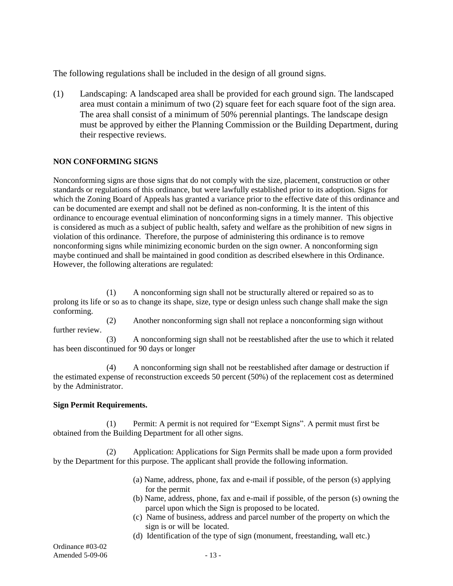The following regulations shall be included in the design of all ground signs.

(1) Landscaping: A landscaped area shall be provided for each ground sign. The landscaped area must contain a minimum of two (2) square feet for each square foot of the sign area. The area shall consist of a minimum of 50% perennial plantings. The landscape design must be approved by either the Planning Commission or the Building Department, during their respective reviews.

# **NON CONFORMING SIGNS**

Nonconforming signs are those signs that do not comply with the size, placement, construction or other standards or regulations of this ordinance, but were lawfully established prior to its adoption. Signs for which the Zoning Board of Appeals has granted a variance prior to the effective date of this ordinance and can be documented are exempt and shall not be defined as non-conforming. It is the intent of this ordinance to encourage eventual elimination of nonconforming signs in a timely manner. This objective is considered as much as a subject of public health, safety and welfare as the prohibition of new signs in violation of this ordinance. Therefore, the purpose of administering this ordinance is to remove nonconforming signs while minimizing economic burden on the sign owner. A nonconforming sign maybe continued and shall be maintained in good condition as described elsewhere in this Ordinance. However, the following alterations are regulated:

(1) A nonconforming sign shall not be structurally altered or repaired so as to prolong its life or so as to change its shape, size, type or design unless such change shall make the sign conforming.

(2) Another nonconforming sign shall not replace a nonconforming sign without further review.

(3) A nonconforming sign shall not be reestablished after the use to which it related has been discontinued for 90 days or longer

(4) A nonconforming sign shall not be reestablished after damage or destruction if the estimated expense of reconstruction exceeds 50 percent (50%) of the replacement cost as determined by the Administrator.

## **Sign Permit Requirements.**

(1) Permit: A permit is not required for "Exempt Signs". A permit must first be obtained from the Building Department for all other signs.

(2) Application: Applications for Sign Permits shall be made upon a form provided by the Department for this purpose. The applicant shall provide the following information.

- (a) Name, address, phone, fax and e-mail if possible, of the person (s) applying for the permit
- (b) Name, address, phone, fax and e-mail if possible, of the person (s) owning the parcel upon which the Sign is proposed to be located.
- (c) Name of business, address and parcel number of the property on which the sign is or will be located.
- (d) Identification of the type of sign (monument, freestanding, wall etc.)

Ordinance #03-02 Amended 5-09-06 - 13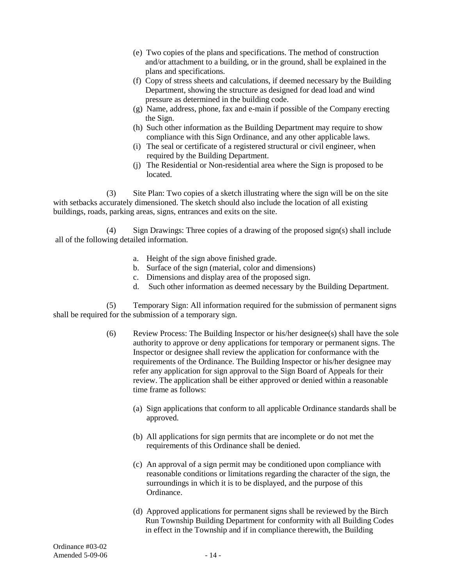- (e) Two copies of the plans and specifications. The method of construction and/or attachment to a building, or in the ground, shall be explained in the plans and specifications.
- (f) Copy of stress sheets and calculations, if deemed necessary by the Building Department, showing the structure as designed for dead load and wind pressure as determined in the building code.
- (g) Name, address, phone, fax and e-main if possible of the Company erecting the Sign.
- (h) Such other information as the Building Department may require to show compliance with this Sign Ordinance, and any other applicable laws.
- (i) The seal or certificate of a registered structural or civil engineer, when required by the Building Department.
- (j) The Residential or Non-residential area where the Sign is proposed to be located.

(3) Site Plan: Two copies of a sketch illustrating where the sign will be on the site with setbacks accurately dimensioned. The sketch should also include the location of all existing buildings, roads, parking areas, signs, entrances and exits on the site.

(4) Sign Drawings: Three copies of a drawing of the proposed sign(s) shall include all of the following detailed information.

- a. Height of the sign above finished grade.
- b. Surface of the sign (material, color and dimensions)
- c. Dimensions and display area of the proposed sign.
- d. Such other information as deemed necessary by the Building Department.

(5) Temporary Sign: All information required for the submission of permanent signs shall be required for the submission of a temporary sign.

- (6) Review Process: The Building Inspector or his/her designee(s) shall have the sole authority to approve or deny applications for temporary or permanent signs. The Inspector or designee shall review the application for conformance with the requirements of the Ordinance. The Building Inspector or his/her designee may refer any application for sign approval to the Sign Board of Appeals for their review. The application shall be either approved or denied within a reasonable time frame as follows:
	- (a) Sign applications that conform to all applicable Ordinance standards shall be approved.
	- (b) All applications for sign permits that are incomplete or do not met the requirements of this Ordinance shall be denied.
	- (c) An approval of a sign permit may be conditioned upon compliance with reasonable conditions or limitations regarding the character of the sign, the surroundings in which it is to be displayed, and the purpose of this Ordinance.
	- (d) Approved applications for permanent signs shall be reviewed by the Birch Run Township Building Department for conformity with all Building Codes in effect in the Township and if in compliance therewith, the Building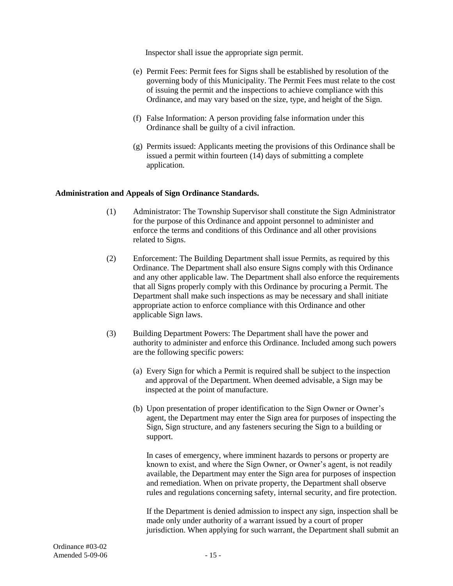Inspector shall issue the appropriate sign permit.

- (e) Permit Fees: Permit fees for Signs shall be established by resolution of the governing body of this Municipality. The Permit Fees must relate to the cost of issuing the permit and the inspections to achieve compliance with this Ordinance, and may vary based on the size, type, and height of the Sign.
- (f) False Information: A person providing false information under this Ordinance shall be guilty of a civil infraction.
- (g) Permits issued: Applicants meeting the provisions of this Ordinance shall be issued a permit within fourteen (14) days of submitting a complete application.

## **Administration and Appeals of Sign Ordinance Standards.**

- (1) Administrator: The Township Supervisor shall constitute the Sign Administrator for the purpose of this Ordinance and appoint personnel to administer and enforce the terms and conditions of this Ordinance and all other provisions related to Signs.
- (2) Enforcement: The Building Department shall issue Permits, as required by this Ordinance. The Department shall also ensure Signs comply with this Ordinance and any other applicable law. The Department shall also enforce the requirements that all Signs properly comply with this Ordinance by procuring a Permit. The Department shall make such inspections as may be necessary and shall initiate appropriate action to enforce compliance with this Ordinance and other applicable Sign laws.
- (3) Building Department Powers: The Department shall have the power and authority to administer and enforce this Ordinance. Included among such powers are the following specific powers:
	- (a) Every Sign for which a Permit is required shall be subject to the inspection and approval of the Department. When deemed advisable, a Sign may be inspected at the point of manufacture.
	- (b) Upon presentation of proper identification to the Sign Owner or Owner's agent, the Department may enter the Sign area for purposes of inspecting the Sign, Sign structure, and any fasteners securing the Sign to a building or support.

In cases of emergency, where imminent hazards to persons or property are known to exist, and where the Sign Owner, or Owner's agent, is not readily available, the Department may enter the Sign area for purposes of inspection and remediation. When on private property, the Department shall observe rules and regulations concerning safety, internal security, and fire protection.

If the Department is denied admission to inspect any sign, inspection shall be made only under authority of a warrant issued by a court of proper jurisdiction. When applying for such warrant, the Department shall submit an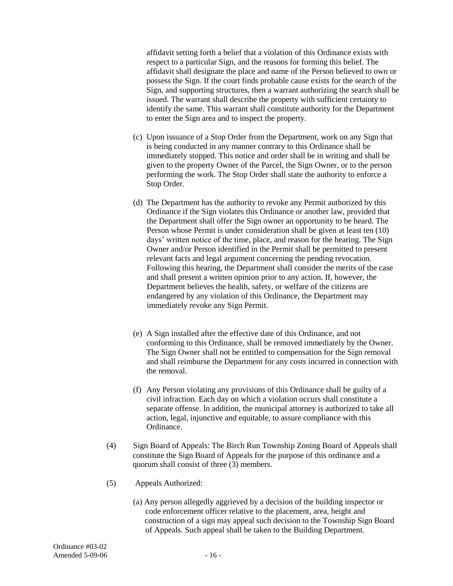affidavit setting forth a belief that a violation of this Ordinance exists with respect to a particular Sign, and the reasons for forming this belief. The affidavit shall designate the place and name of the Person believed to own or possess the Sign. If the court finds probable cause exists for the search of the Sign, and supporting structures, then a warrant authorizing the search shall be issued. The warrant shall describe the property with sufficient certainty to identify the same. This warrant shall constitute authority for the Department to enter the Sign area and to inspect the property.

- (c) Upon issuance of a Stop Order from the Department, work on any Sign that is being conducted in any manner contrary to this Ordinance shall be immediately stopped. This notice and order shall be in writing and shall be given to the property Owner of the Parcel, the Sign Owner, or to the person performing the work. The Stop Order shall state the authority to enforce a Stop Order.
- (d) The Department has the authority to revoke any Permit authorized by this Ordinance if the Sign violates this Ordinance or another law, provided that the Department shall offer the Sign owner an opportunity to be heard. The Person whose Permit is under consideration shall be given at least ten (10) days' written notice of the time, place, and reason for the hearing. The Sign Owner and/or Person identified in the Permit shall be permitted to present relevant facts and legal argument concerning the pending revocation. Following this hearing, the Department shall consider the merits of the case and shall present a written opinion prior to any action. If, however, the Department believes the health, safety, or welfare of the citizens are endangered by any violation of this Ordinance, the Department may immediately revoke any Sign Permit.
- (e) A Sign installed after the effective date of this Ordinance, and not conforming to this Ordinance, shall be removed immediately by the Owner. The Sign Owner shall not be entitled to compensation for the Sign removal and shall reimburse the Department for any costs incurred in connection with the removal.
- (f) Any Person violating any provisions of this Ordinance shall be guilty of a civil infraction. Each day on which a violation occurs shall constitute a separate offense. In addition, the municipal attorney is authorized to take all action, legal, injunctive and equitable, to assure compliance with this Ordinance.
- (4) Sign Board of Appeals: The Birch Run Township Zoning Board of Appeals shall constitute the Sign Board of Appeals for the purpose of this ordinance and a quorum shall consist of three (3) members.
- (5) Appeals Authorized:
	- (a) Any person allegedly aggrieved by a decision of the building inspector or code enforcement officer relative to the placement, area, height and construction of a sign may appeal such decision to the Township Sign Board of Appeals. Such appeal shall be taken to the Building Department.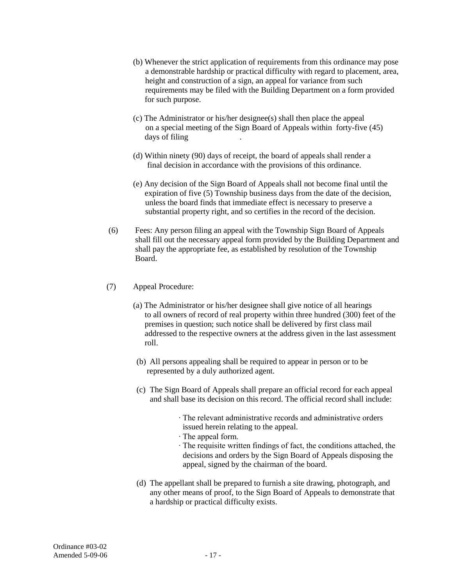- (b) Whenever the strict application of requirements from this ordinance may pose a demonstrable hardship or practical difficulty with regard to placement, area, height and construction of a sign, an appeal for variance from such requirements may be filed with the Building Department on a form provided for such purpose.
- (c) The Administrator or his/her designee(s) shall then place the appeal on a special meeting of the Sign Board of Appeals within forty-five (45) days of filing .
- (d) Within ninety (90) days of receipt, the board of appeals shall render a final decision in accordance with the provisions of this ordinance.
- (e) Any decision of the Sign Board of Appeals shall not become final until the expiration of five (5) Township business days from the date of the decision, unless the board finds that immediate effect is necessary to preserve a substantial property right, and so certifies in the record of the decision.
- (6) Fees: Any person filing an appeal with the Township Sign Board of Appeals shall fill out the necessary appeal form provided by the Building Department and shall pay the appropriate fee, as established by resolution of the Township Board.
- (7) Appeal Procedure:
	- (a) The Administrator or his/her designee shall give notice of all hearings to all owners of record of real property within three hundred (300) feet of the premises in question; such notice shall be delivered by first class mail addressed to the respective owners at the address given in the last assessment roll.
	- (b) All persons appealing shall be required to appear in person or to be represented by a duly authorized agent.
	- (c) The Sign Board of Appeals shall prepare an official record for each appeal and shall base its decision on this record. The official record shall include:
		- ∙ The relevant administrative records and administrative orders issued herein relating to the appeal.
		- ∙ The appeal form.
		- ∙ The requisite written findings of fact, the conditions attached, the decisions and orders by the Sign Board of Appeals disposing the appeal, signed by the chairman of the board.
	- (d) The appellant shall be prepared to furnish a site drawing, photograph, and any other means of proof, to the Sign Board of Appeals to demonstrate that a hardship or practical difficulty exists.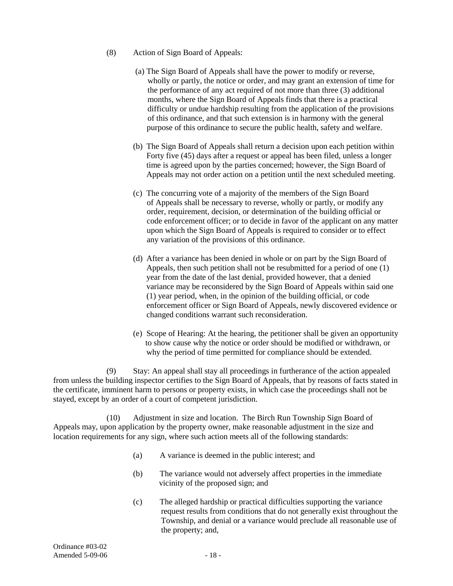- (8) Action of Sign Board of Appeals:
	- (a) The Sign Board of Appeals shall have the power to modify or reverse, wholly or partly, the notice or order, and may grant an extension of time for the performance of any act required of not more than three (3) additional months, where the Sign Board of Appeals finds that there is a practical difficulty or undue hardship resulting from the application of the provisions of this ordinance, and that such extension is in harmony with the general purpose of this ordinance to secure the public health, safety and welfare.
	- (b) The Sign Board of Appeals shall return a decision upon each petition within Forty five (45) days after a request or appeal has been filed, unless a longer time is agreed upon by the parties concerned; however, the Sign Board of Appeals may not order action on a petition until the next scheduled meeting.
	- (c) The concurring vote of a majority of the members of the Sign Board of Appeals shall be necessary to reverse, wholly or partly, or modify any order, requirement, decision, or determination of the building official or code enforcement officer; or to decide in favor of the applicant on any matter upon which the Sign Board of Appeals is required to consider or to effect any variation of the provisions of this ordinance.
	- (d) After a variance has been denied in whole or on part by the Sign Board of Appeals, then such petition shall not be resubmitted for a period of one (1) year from the date of the last denial, provided however, that a denied variance may be reconsidered by the Sign Board of Appeals within said one (1) year period, when, in the opinion of the building official, or code enforcement officer or Sign Board of Appeals, newly discovered evidence or changed conditions warrant such reconsideration.
	- (e) Scope of Hearing: At the hearing, the petitioner shall be given an opportunity to show cause why the notice or order should be modified or withdrawn, or why the period of time permitted for compliance should be extended.

(9) Stay: An appeal shall stay all proceedings in furtherance of the action appealed from unless the building inspector certifies to the Sign Board of Appeals, that by reasons of facts stated in the certificate, imminent harm to persons or property exists, in which case the proceedings shall not be stayed, except by an order of a court of competent jurisdiction.

(10) Adjustment in size and location. The Birch Run Township Sign Board of Appeals may, upon application by the property owner, make reasonable adjustment in the size and location requirements for any sign, where such action meets all of the following standards:

- (a) A variance is deemed in the public interest; and
- (b) The variance would not adversely affect properties in the immediate vicinity of the proposed sign; and
- (c) The alleged hardship or practical difficulties supporting the variance request results from conditions that do not generally exist throughout the Township, and denial or a variance would preclude all reasonable use of the property; and,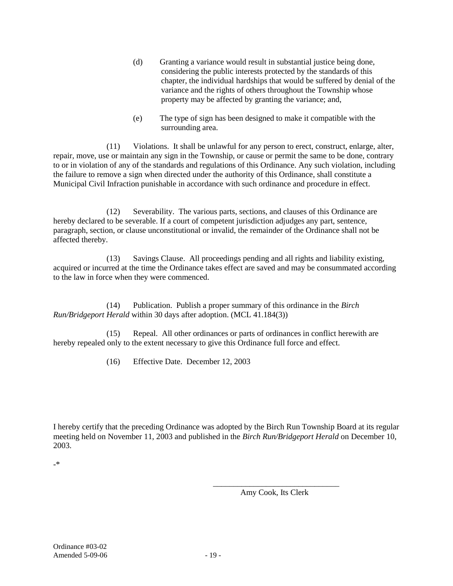- (d) Granting a variance would result in substantial justice being done, considering the public interests protected by the standards of this chapter, the individual hardships that would be suffered by denial of the variance and the rights of others throughout the Township whose property may be affected by granting the variance; and,
- (e) The type of sign has been designed to make it compatible with the surrounding area.

(11) Violations. It shall be unlawful for any person to erect, construct, enlarge, alter, repair, move, use or maintain any sign in the Township, or cause or permit the same to be done, contrary to or in violation of any of the standards and regulations of this Ordinance. Any such violation, including the failure to remove a sign when directed under the authority of this Ordinance, shall constitute a Municipal Civil Infraction punishable in accordance with such ordinance and procedure in effect.

(12) Severability. The various parts, sections, and clauses of this Ordinance are hereby declared to be severable. If a court of competent jurisdiction adjudges any part, sentence, paragraph, section, or clause unconstitutional or invalid, the remainder of the Ordinance shall not be affected thereby.

(13) Savings Clause. All proceedings pending and all rights and liability existing, acquired or incurred at the time the Ordinance takes effect are saved and may be consummated according to the law in force when they were commenced.

(14) Publication. Publish a proper summary of this ordinance in the *Birch Run/Bridgeport Herald* within 30 days after adoption. (MCL 41.184(3))

(15) Repeal. All other ordinances or parts of ordinances in conflict herewith are hereby repealed only to the extent necessary to give this Ordinance full force and effect.

(16) Effective Date. December 12, 2003

I hereby certify that the preceding Ordinance was adopted by the Birch Run Township Board at its regular meeting held on November 11, 2003 and published in the *Birch Run/Bridgeport Herald* on December 10, 2003.

-\*

\_\_\_\_\_\_\_\_\_\_\_\_\_\_\_\_\_\_\_\_\_\_\_\_\_\_\_\_\_\_\_ Amy Cook, Its Clerk